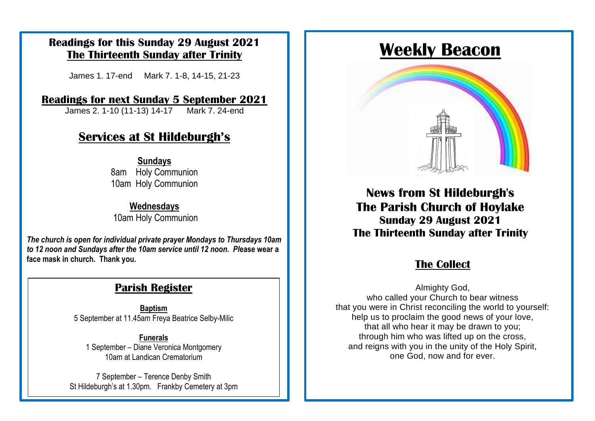#### **Readings for this Sunday 29 August 2021 The Thirteenth Sunday after Trinity**

James 1. 17-end Mark 7. 1-8, 14-15, 21-23

#### **Readings for next Sunday 5 September 2021**

James 2. 1-10 (11-13) 14-17 Mark 7. 24-end

# **Sunday Services at St Hildeburgh's Services at St Hildeburgh's**

8am Holy Communion 10am Holy Communion **Sundays**

#### **Wednesdays** 10am Holy Communion

The church is open for individual private prayer Mondays to Thursdays 10am face mask in church. Thank you. **The Collect** for the time being. The collection of the time being of the time being. The collect *to 12 noon and Sundays after the 10am service until 12 noon. Pl***ease wear a** 

## **Parish Register**

**Baptism** 5 September at 11.45am Freya Beatrice Selby-Milic

**Funerals** 1 September – Diane Veronica Montgomery 10am at Landican Crematorium

7 September – Terence Denby Smith St Hildeburgh's at 1.30pm. Frankby Cemetery at 3pm

# **Weekly Beacon**



**News from St Hildeburgh's The Parish Church of Hoylake Sunday 29 August 2021 The Thirteenth Sunday after Trinity**

Almighty God, who called your Church to bear witness that you were in Christ reconciling the world to yourself: help us to proclaim the good news of your love, that all who hear it may be drawn to you; through him who was lifted up on the cross, and reigns with you in the unity of the Holy Spirit, one God, now and for ever.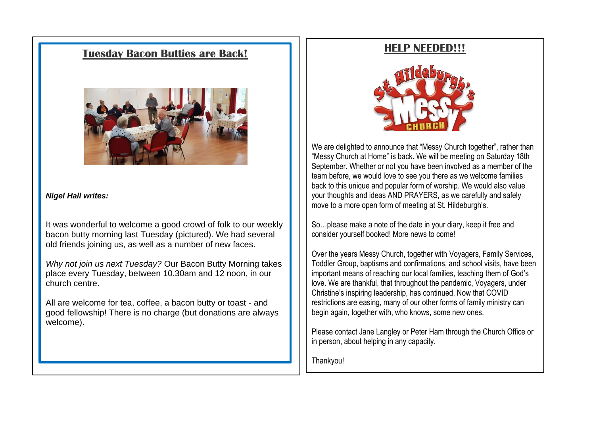#### **Tuesday Bacon Butties are Back!**



#### *Nigel Hall writes:*

It was wonderful to welcome a good crowd of folk to our weekly bacon butty morning last Tuesday (pictured). We had several old friends joining us, as well as a number of new faces.

*Why not join us next Tuesday?* Our Bacon Butty Morning takes place every Tuesday, between 10.30am and 12 noon, in our church centre.

All are welcome for tea, coffee, a bacon butty or toast - and good fellowship! There is no charge (but donations are always welcome).

#### **HELP NEEDED!!!**



We are delighted to announce that "Messy Church together", rather than "Messy Church at Home" is back. We will be meeting on Saturday 18th September. Whether or not you have been involved as a member of the team before, we would love to see you there as we welcome families back to this unique and popular form of worship. We would also value your thoughts and ideas AND PRAYERS, as we carefully and safely move to a more open form of meeting at St. Hildeburgh's.

So…please make a note of the date in your diary, keep it free and consider yourself booked! More news to come!

Over the years Messy Church, together with Voyagers, Family Services, Toddler Group, baptisms and confirmations, and school visits, have been important means of reaching our local families, teaching them of God's love. We are thankful, that throughout the pandemic, Voyagers, under Christine's inspiring leadership, has continued. Now that COVID restrictions are easing, many of our other forms of family ministry can begin again, together with, who knows, some new ones.

Please contact Jane Langley or Peter Ham through the Church Office or in person, about helping in any capacity.

Thankyou!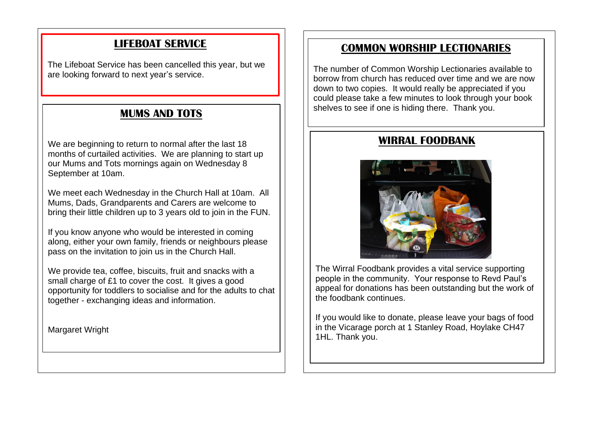## **LIFEBOAT SERVICE**

The Lifeboat Service has been cancelled this year, but we are looking forward to next year's service.

#### **MUMS AND TOTS**

We are beginning to return to normal after the last 18 months of curtailed activities. We are planning to start up our Mums and Tots mornings again on Wednesday 8 September at 10am.

We meet each Wednesday in the Church Hall at 10am. All Mums, Dads, Grandparents and Carers are welcome to bring their little children up to 3 years old to join in the FUN.

If you know anyone who would be interested in coming along, either your own family, friends or neighbours please pass on the invitation to join us in the Church Hall.

We provide tea, coffee, biscuits, fruit and snacks with a small charge of £1 to cover the cost. It gives a good opportunity for toddlers to socialise and for the adults to chat together - exchanging ideas and information.

Margaret Wright

#### **COMMON WORSHIP LECTIONARIES**

The number of Common Worship Lectionaries available to borrow from church has reduced over time and we are now down to two copies. It would really be appreciated if you could please take a few minutes to look through your book shelves to see if one is hiding there. Thank you.

#### **WIRRAL FOODBANK**



The Wirral Foodbank provides a vital service supporting people in the community. Your response to Revd Paul's appeal for donations has been outstanding but the work of the foodbank continues.

If you would like to donate, please leave your bags of food in the Vicarage porch at 1 Stanley Road, Hoylake CH47 1HL. Thank you.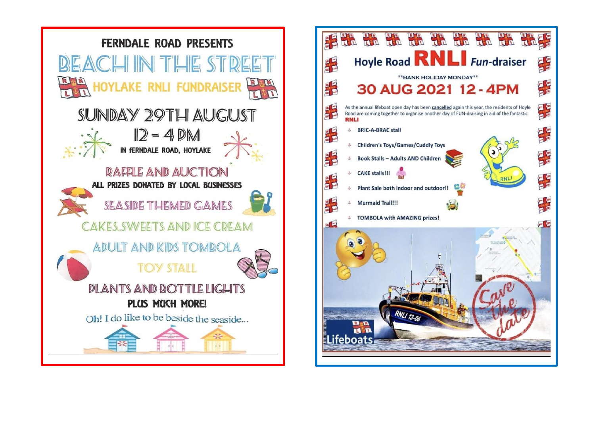

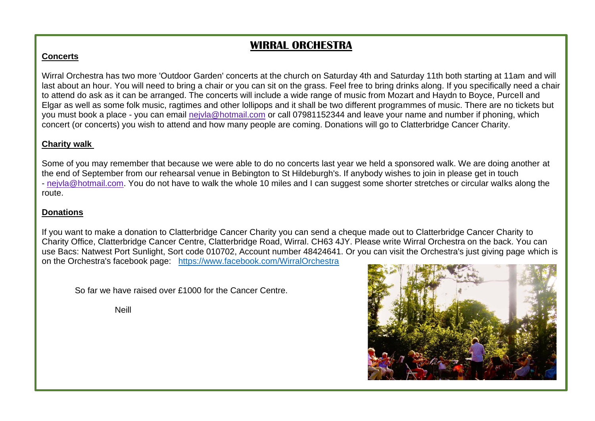## **WIRRAL ORCHESTRA**

#### **Concerts**

Wirral Orchestra has two more 'Outdoor Garden' concerts at the church on Saturday 4th and Saturday 11th both starting at 11am and will last about an hour. You will need to bring a chair or you can sit on the grass. Feel free to bring drinks along. If you specifically need a chair to attend do ask as it can be arranged. The concerts will include a wide range of music from Mozart and Haydn to Boyce, Purcell and Elgar as well as some folk music, ragtimes and other lollipops and it shall be two different programmes of music. There are no tickets but you must book a place - you can email [nejvla@hotmail.com](mailto:nejvla@hotmail.com) or call 07981152344 and leave your name and number if phoning, which concert (or concerts) you wish to attend and how many people are coming. Donations will go to Clatterbridge Cancer Charity.

#### **Charity walk**

Some of you may remember that because we were able to do no concerts last year we held a sponsored walk. We are doing another at the end of September from our rehearsal venue in Bebington to St Hildeburgh's. If anybody wishes to join in please get in touch - [nejvla@hotmail.com.](mailto:nejvla@hotmail.com) You do not have to walk the whole 10 miles and I can suggest some shorter stretches or circular walks along the route.

#### **Donations**

If you want to make a donation to Clatterbridge Cancer Charity you can send a cheque made out to Clatterbridge Cancer Charity to Charity Office, Clatterbridge Cancer Centre, Clatterbridge Road, Wirral. CH63 4JY. Please write Wirral Orchestra on the back. You can use Bacs: Natwest Port Sunlight, Sort code 010702, Account number 48424641. Or you can visit the Orchestra's just giving page which is on the Orchestra's facebook page: <https://www.facebook.com/WirralOrchestra>

So far we have raised over £1000 for the Cancer Centre.

Neill

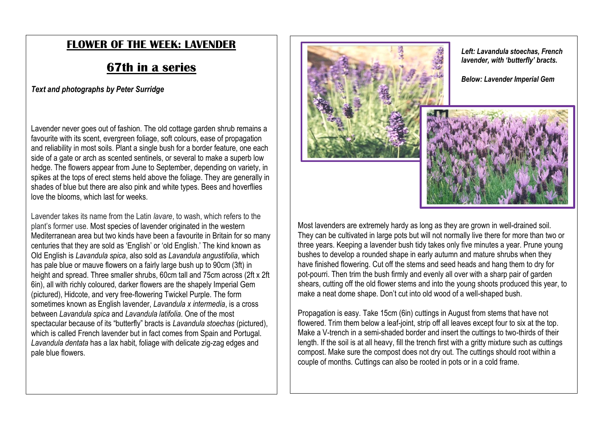### **FLOWER OF THE WEEK: LAVENDER**

## **67th in a series**

*Text and photographs by Peter Surridge* 

Lavender never goes out of fashion. The old cottage garden shrub remains a favourite with its scent, evergreen foliage, soft colours, ease of propagation and reliability in most soils. Plant a single bush for a border feature, one each side of a gate or arch as scented sentinels, or several to make a superb low hedge. The flowers appear from June to September, depending on variety, in spikes at the tops of erect stems held above the foliage. They are generally in shades of blue but there are also pink and white types. Bees and hoverflies love the blooms, which last for weeks.

Lavender takes its name from the Latin *lavare*, to wash, which refers to the plant's former use. Most species of lavender originated in the western Mediterranean area but two kinds have been a favourite in Britain for so many centuries that they are sold as 'English' or 'old English.' The kind known as Old English is *Lavandula spica*, also sold as *Lavandula angustifolia*, which has pale blue or mauve flowers on a fairly large bush up to 90cm (3ft) in height and spread. Three smaller shrubs, 60cm tall and 75cm across (2ft x 2ft 6in), all with richly coloured, darker flowers are the shapely Imperial Gem (pictured), Hidcote, and very free-flowering Twickel Purple. The form sometimes known as English lavender, *Lavandula x intermedia*, is a cross between *Lavandula spica* and *Lavandula latifolia*. One of the most spectacular because of its "butterfly" bracts is *Lavandula stoechas* (pictured), which is called French lavender but in fact comes from Spain and Portugal. *Lavandula dentata* has a lax habit, foliage with delicate zig-zag edges and pale blue flowers.





*Below: Lavender Imperial Gem*



Most lavenders are extremely hardy as long as they are grown in well-drained soil. They can be cultivated in large pots but will not normally live there for more than two or three years. Keeping a lavender bush tidy takes only five minutes a year. Prune young bushes to develop a rounded shape in early autumn and mature shrubs when they have finished flowering. Cut off the stems and seed heads and hang them to dry for pot-pourri. Then trim the bush firmly and evenly all over with a sharp pair of garden shears, cutting off the old flower stems and into the young shoots produced this year, to make a neat dome shape. Don't cut into old wood of a well-shaped bush.

Propagation is easy. Take 15cm (6in) cuttings in August from stems that have not flowered. Trim them below a leaf-joint, strip off all leaves except four to six at the top. Make a V-trench in a semi-shaded border and insert the cuttings to two-thirds of their length. If the soil is at all heavy, fill the trench first with a gritty mixture such as cuttings compost. Make sure the compost does not dry out. The cuttings should root within a couple of months. Cuttings can also be rooted in pots or in a cold frame.